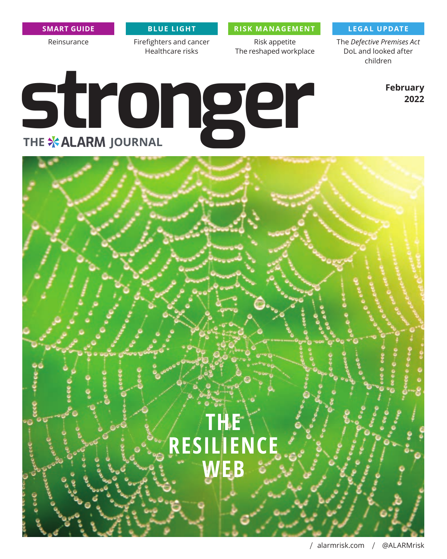Reinsurance Firefighters and cancer

Healthcare risks

**SMART GUIDE BLUE LIGHT RISK MANAGEMENT LEGAL UPDATE**

Risk appetite The reshaped workplace

The *Defective Premises Act* DoL and looked after children

> **February 2022**

# **stronger**

## **THE RESILIENCE WEB**

/ alarmrisk.com / [@ALARMrisk](https://twitter.com/alarmrisk)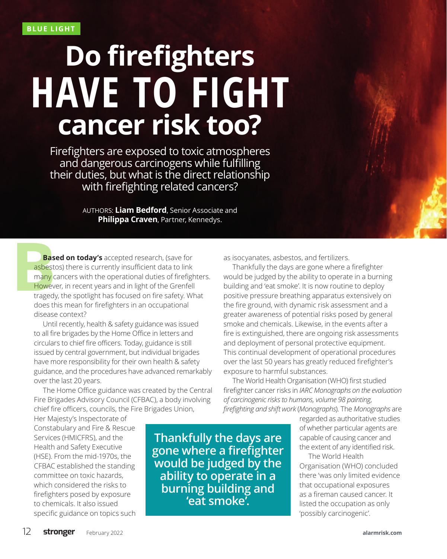# **Do firefighters cancer risk too? HAVE TO FIGHT**

Firefighters are exposed to toxic atmospheres and dangerous carcinogens while fulfilling their duties, but what is the direct relationship with firefighting related cancers?

> AUTHORS: **Liam Bedford**, Senior Associate and **Philippa Craven**, Partner, Kennedys.

**Bas**<br> **Bas**<br> **many** c<br> **Howev**<br> **tragedy**<br> **doos** the **Based on today's** accepted research, (save for asbestos) there is currently insufficient data to link many cancers with the operational duties of firefighters. However, in recent years and in light of the Grenfell tragedy, the spotlight has focused on fire safety. What does this mean for firefighters in an occupational disease context?

> Until recently, health & safety guidance was issued to all fire brigades by the Home Office in letters and circulars to chief fire officers. Today, guidance is still issued by central government, but individual brigades have more responsibility for their own health & safety guidance, and the procedures have advanced remarkably over the last 20 years.

> The Home Office guidance was created by the Central Fire Brigades Advisory Council (CFBAC), a body involving chief fire officers, councils, the Fire Brigades Union,

Her Majesty's Inspectorate of Constabulary and Fire & Rescue Services (HMICFRS), and the Health and Safety Executive (HSE). From the mid-1970s, the CFBAC established the standing committee on toxic hazards, which considered the risks to firefighters posed by exposure to chemicals. It also issued specific guidance on topics such

**Thankfully the days are gone where a firefighter would be judged by the ability to operate in a burning building and 'eat smoke'.**

as isocyanates, asbestos, and fertilizers.

Thankfully the days are gone where a firefighter would be judged by the ability to operate in a burning building and 'eat smoke'. It is now routine to deploy positive pressure breathing apparatus extensively on the fire ground, with dynamic risk assessment and a greater awareness of potential risks posed by general smoke and chemicals. Likewise, in the events after a fire is extinguished, there are ongoing risk assessments and deployment of personal protective equipment. This continual development of operational procedures over the last 50 years has greatly reduced firefighter's exposure to harmful substances.

The World Health Organisation (WHO) first studied firefighter cancer risks in *IARC Monographs on the evaluation of carcinogenic risks to humans, volume 98 painting, firefighting and shift work* (*Monographs*). The *Monographs* are

> regarded as authoritative studies of whether particular agents are capable of causing cancer and the extent of any identified risk.

> The World Health Organisation (WHO) concluded there 'was only limited evidence that occupational exposures as a fireman caused cancer. It listed the occupation as only 'possibly carcinogenic'.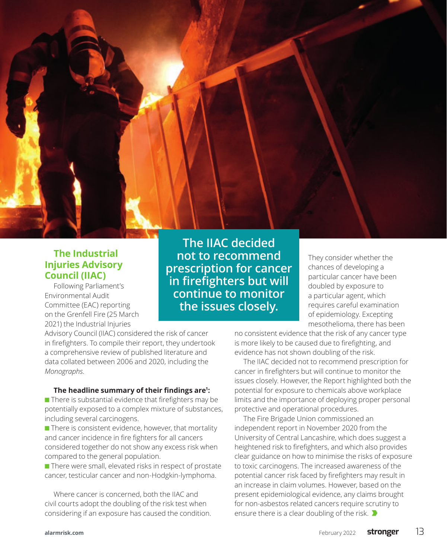

### **The Industrial Injuries Advisory Council (IIAC)**

Following Parliament's Environmental Audit Committee (EAC) reporting on the Grenfell Fire (25 March 2021) the Industrial Injuries

**The IIAC decided not to recommend prescription for cancer in firefighters but will continue to monitor the issues closely.**

They consider whether the chances of developing a particular cancer have been doubled by exposure to a particular agent, which requires careful examination of epidemiology. Excepting mesothelioma, there has been

Advisory Council (IIAC) considered the risk of cancer in firefighters. To compile their report, they undertook a comprehensive review of published literature and data collated between 2006 and 2020, including the *Monographs*.

### **The headline summary of their findings are<sup>1</sup> :**

 $\blacksquare$  There is substantial evidence that firefighters may be potentially exposed to a complex mixture of substances, including several carcinogens.

 $\blacksquare$  There is consistent evidence, however, that mortality and cancer incidence in fire fighters for all cancers considered together do not show any excess risk when compared to the general population.

■ There were small, elevated risks in respect of prostate cancer, testicular cancer and non-Hodgkin-lymphoma.

Where cancer is concerned, both the IIAC and civil courts adopt the doubling of the risk test when considering if an exposure has caused the condition. no consistent evidence that the risk of any cancer type is more likely to be caused due to firefighting, and evidence has not shown doubling of the risk.

The IIAC decided not to recommend prescription for cancer in firefighters but will continue to monitor the issues closely. However, the Report highlighted both the potential for exposure to chemicals above workplace limits and the importance of deploying proper personal protective and operational procedures.

The Fire Brigade Union commissioned an independent report in November 2020 from the University of Central Lancashire, which does suggest a heightened risk to firefighters, and which also provides clear guidance on how to minimise the risks of exposure to toxic carcinogens. The increased awareness of the potential cancer risk faced by firefighters may result in an increase in claim volumes. However, based on the present epidemiological evidence, any claims brought for non-asbestos related cancers require scrutiny to ensure there is a clear doubling of the risk.